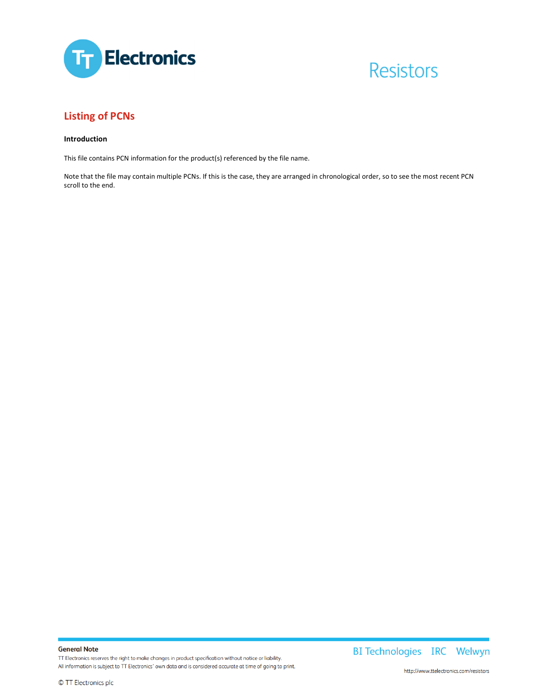

# **Resistors**

### **Listing of PCNs**

#### **Introduction**

This file contains PCN information for the product(s) referenced by the file name.

Note that the file may contain multiple PCNs. If this is the case, they are arranged in chronological order, so to see the most recent PCN scroll to the end.

**General Note** TT Electronics reserves the right to make changes in product specification without notice or liability. All information is subject to TT Electronics' own data and is considered accurate at time of going to print. BI Technologies IRC Welwyn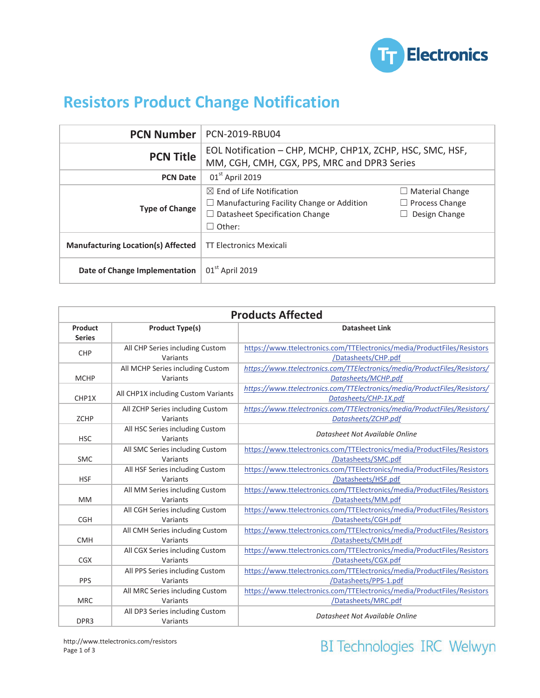

## **Resistors Product Change Notification**

| <b>PCN Number</b>                         | PCN-2019-RBU04                                                                                                                                     |                                                                  |
|-------------------------------------------|----------------------------------------------------------------------------------------------------------------------------------------------------|------------------------------------------------------------------|
| <b>PCN Title</b>                          | EOL Notification - CHP, MCHP, CHP1X, ZCHP, HSC, SMC, HSF,<br>MM, CGH, CMH, CGX, PPS, MRC and DPR3 Series                                           |                                                                  |
| <b>PCN Date</b>                           | $01st$ April 2019                                                                                                                                  |                                                                  |
| <b>Type of Change</b>                     | $\boxtimes$ End of Life Notification<br>$\Box$ Manufacturing Facility Change or Addition<br>$\Box$ Datasheet Specification Change<br>$\Box$ Other: | $\Box$ Material Change<br>$\Box$ Process Change<br>Design Change |
| <b>Manufacturing Location(s) Affected</b> | <b>TT Electronics Mexicali</b>                                                                                                                     |                                                                  |
| Date of Change Implementation             | 01 <sup>st</sup> April 2019                                                                                                                        |                                                                  |

| <b>Products Affected</b> |                                              |                                                                                                    |  |  |
|--------------------------|----------------------------------------------|----------------------------------------------------------------------------------------------------|--|--|
| Product<br><b>Series</b> | <b>Product Type(s)</b>                       | <b>Datasheet Link</b>                                                                              |  |  |
| <b>CHP</b>               | All CHP Series including Custom<br>Variants  | https://www.ttelectronics.com/TTElectronics/media/ProductFiles/Resistors<br>/Datasheets/CHP.pdf    |  |  |
| <b>MCHP</b>              | All MCHP Series including Custom<br>Variants | https://www.ttelectronics.com/TTElectronics/media/ProductFiles/Resistors/<br>Datasheets/MCHP.pdf   |  |  |
| CHP1X                    | All CHP1X including Custom Variants          | https://www.ttelectronics.com/TTElectronics/media/ProductFiles/Resistors/<br>Datasheets/CHP-1X.pdf |  |  |
| <b>ZCHP</b>              | All ZCHP Series including Custom<br>Variants | https://www.ttelectronics.com/TTElectronics/media/ProductFiles/Resistors/<br>Datasheets/ZCHP.pdf   |  |  |
| <b>HSC</b>               | All HSC Series including Custom<br>Variants  | Datasheet Not Available Online                                                                     |  |  |
| <b>SMC</b>               | All SMC Series including Custom<br>Variants  | https://www.ttelectronics.com/TTElectronics/media/ProductFiles/Resistors<br>/Datasheets/SMC.pdf    |  |  |
| <b>HSF</b>               | All HSF Series including Custom<br>Variants  | https://www.ttelectronics.com/TTElectronics/media/ProductFiles/Resistors<br>/Datasheets/HSF.pdf    |  |  |
| <b>MM</b>                | All MM Series including Custom<br>Variants   | https://www.ttelectronics.com/TTElectronics/media/ProductFiles/Resistors<br>/Datasheets/MM.pdf     |  |  |
| <b>CGH</b>               | All CGH Series including Custom<br>Variants  | https://www.ttelectronics.com/TTElectronics/media/ProductFiles/Resistors<br>/Datasheets/CGH.pdf    |  |  |
| <b>CMH</b>               | All CMH Series including Custom<br>Variants  | https://www.ttelectronics.com/TTElectronics/media/ProductFiles/Resistors<br>/Datasheets/CMH.pdf    |  |  |
| CGX                      | All CGX Series including Custom<br>Variants  | https://www.ttelectronics.com/TTElectronics/media/ProductFiles/Resistors<br>/Datasheets/CGX.pdf    |  |  |
| PPS                      | All PPS Series including Custom<br>Variants  | https://www.ttelectronics.com/TTElectronics/media/ProductFiles/Resistors<br>/Datasheets/PPS-1.pdf  |  |  |
| <b>MRC</b>               | All MRC Series including Custom<br>Variants  | https://www.ttelectronics.com/TTElectronics/media/ProductFiles/Resistors<br>/Datasheets/MRC.pdf    |  |  |
| DPR3                     | All DP3 Series including Custom<br>Variants  | Datasheet Not Available Online                                                                     |  |  |

BI Technologies IRC Welwyn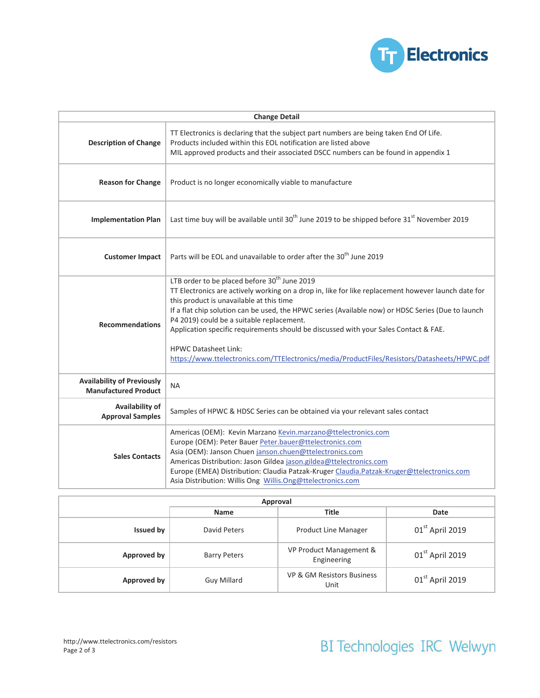

| <b>Change Detail</b>                                             |                                                                                                                                                                                                                                                                                                                                                                                                                                                                                                                                                                                       |  |  |  |
|------------------------------------------------------------------|---------------------------------------------------------------------------------------------------------------------------------------------------------------------------------------------------------------------------------------------------------------------------------------------------------------------------------------------------------------------------------------------------------------------------------------------------------------------------------------------------------------------------------------------------------------------------------------|--|--|--|
| <b>Description of Change</b>                                     | TT Electronics is declaring that the subject part numbers are being taken End Of Life.<br>Products included within this EOL notification are listed above<br>MIL approved products and their associated DSCC numbers can be found in appendix 1                                                                                                                                                                                                                                                                                                                                       |  |  |  |
| <b>Reason for Change</b>                                         | Product is no longer economically viable to manufacture                                                                                                                                                                                                                                                                                                                                                                                                                                                                                                                               |  |  |  |
| <b>Implementation Plan</b>                                       | Last time buy will be available until 30 <sup>th</sup> June 2019 to be shipped before 31 <sup>st</sup> November 2019                                                                                                                                                                                                                                                                                                                                                                                                                                                                  |  |  |  |
| <b>Customer Impact</b>                                           | Parts will be EOL and unavailable to order after the 30 <sup>th</sup> June 2019                                                                                                                                                                                                                                                                                                                                                                                                                                                                                                       |  |  |  |
| <b>Recommendations</b>                                           | LTB order to be placed before 30 <sup>th</sup> June 2019<br>TT Electronics are actively working on a drop in, like for like replacement however launch date for<br>this product is unavailable at this time<br>If a flat chip solution can be used, the HPWC series (Available now) or HDSC Series (Due to launch<br>P4 2019) could be a suitable replacement.<br>Application specific requirements should be discussed with your Sales Contact & FAE.<br><b>HPWC Datasheet Link:</b><br>https://www.ttelectronics.com/TTElectronics/media/ProductFiles/Resistors/Datasheets/HPWC.pdf |  |  |  |
| <b>Availability of Previously</b><br><b>Manufactured Product</b> | <b>NA</b>                                                                                                                                                                                                                                                                                                                                                                                                                                                                                                                                                                             |  |  |  |
| Availability of<br><b>Approval Samples</b>                       | Samples of HPWC & HDSC Series can be obtained via your relevant sales contact                                                                                                                                                                                                                                                                                                                                                                                                                                                                                                         |  |  |  |
| <b>Sales Contacts</b>                                            | Americas (OEM): Kevin Marzano Kevin.marzano@ttelectronics.com<br>Europe (OEM): Peter Bauer Peter.bauer@ttelectronics.com<br>Asia (OEM): Janson Chuen janson.chuen@ttelectronics.com<br>Americas Distribution: Jason Gildea jason.gildea@ttelectronics.com<br>Europe (EMEA) Distribution: Claudia Patzak-Kruger Claudia.Patzak-Kruger@ttelectronics.com<br>Asia Distribution: Willis Ong Willis.Ong@ttelectronics.com                                                                                                                                                                  |  |  |  |

| Approval         |                     |                                        |                   |  |
|------------------|---------------------|----------------------------------------|-------------------|--|
|                  | <b>Name</b>         | <b>Title</b>                           | Date              |  |
| <b>Issued by</b> | David Peters        | <b>Product Line Manager</b>            | $01st$ April 2019 |  |
| Approved by      | <b>Barry Peters</b> | VP Product Management &<br>Engineering | $01st$ April 2019 |  |
| Approved by      | <b>Guy Millard</b>  | VP & GM Resistors Business<br>Unit     | $01st$ April 2019 |  |